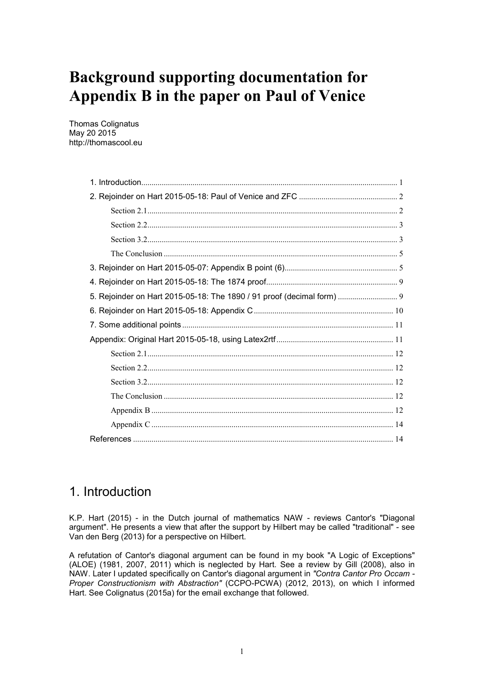# **Background supporting documentation for Appendix B in the paper on Paul of Venice**

Thomas Colignatus May 20 2015 http://thomascool.eu

| 5. Rejoinder on Hart 2015-05-18: The 1890 / 91 proof (decimal form)  9 |
|------------------------------------------------------------------------|
|                                                                        |
|                                                                        |
|                                                                        |
|                                                                        |
|                                                                        |
|                                                                        |
|                                                                        |
|                                                                        |
|                                                                        |
|                                                                        |

## 1. Introduction

K.P. Hart (2015) - in the Dutch journal of mathematics NAW - reviews Cantor's "Diagonal argument". He presents a view that after the support by Hilbert may be called "traditional" - see Van den Berg (2013) for a perspective on Hilbert.

A refutation of Cantor's diagonal argument can be found in my book "A Logic of Exceptions" (ALOE) (1981, 2007, 2011) which is neglected by Hart. See a review by Gill (2008), also in NAW. Later I updated specifically on Cantor's diagonal argument in *"Contra Cantor Pro Occam - Proper Constructionism with Abstraction"* (CCPO-PCWA) (2012, 2013), on which I informed Hart. See Colignatus (2015a) for the email exchange that followed.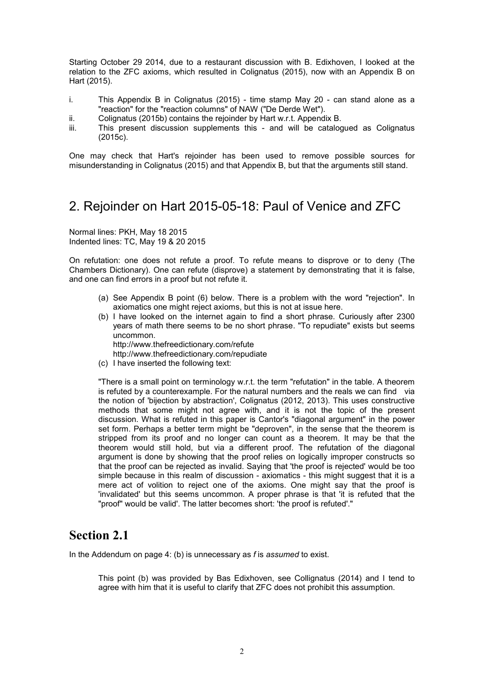Starting October 29 2014, due to a restaurant discussion with B. Edixhoven, I looked at the relation to the ZFC axioms, which resulted in Colignatus (2015), now with an Appendix B on Hart (2015).

- i. This Appendix B in Colignatus (2015) time stamp May 20 can stand alone as a "reaction" for the "reaction columns" of NAW ("De Derde Wet").
- ii. Colignatus (2015b) contains the rejoinder by Hart w.r.t. Appendix B.
- iii. This present discussion supplements this and will be catalogued as Colignatus (2015c).

One may check that Hart's rejoinder has been used to remove possible sources for misunderstanding in Colignatus (2015) and that Appendix B, but that the arguments still stand.

## 2. Rejoinder on Hart 2015-05-18: Paul of Venice and ZFC

Normal lines: PKH, May 18 2015 Indented lines: TC, May 19 & 20 2015

On refutation: one does not refute a proof. To refute means to disprove or to deny (The Chambers Dictionary). One can refute (disprove) a statement by demonstrating that it is false, and one can find errors in a proof but not refute it.

- (a) See Appendix B point (6) below. There is a problem with the word "rejection". In axiomatics one might reject axioms, but this is not at issue here.
- (b) I have looked on the internet again to find a short phrase. Curiously after 2300 years of math there seems to be no short phrase. "To repudiate" exists but seems uncommon. http://www.thefreedictionary.com/refute

http://www.thefreedictionary.com/repudiate

(c) I have inserted the following text:

"There is a small point on terminology w.r.t. the term "refutation" in the table. A theorem is refuted by a counterexample. For the natural numbers and the reals we can find via the notion of 'bijection by abstraction', Colignatus (2012, 2013). This uses constructive methods that some might not agree with, and it is not the topic of the present discussion. What is refuted in this paper is Cantor's "diagonal argument" in the power set form. Perhaps a better term might be "deproven", in the sense that the theorem is stripped from its proof and no longer can count as a theorem. It may be that the theorem would still hold, but via a different proof. The refutation of the diagonal argument is done by showing that the proof relies on logically improper constructs so that the proof can be rejected as invalid. Saying that 'the proof is rejected' would be too simple because in this realm of discussion - axiomatics - this might suggest that it is a mere act of volition to reject one of the axioms. One might say that the proof is 'invalidated' but this seems uncommon. A proper phrase is that 'it is refuted that the "proof" would be valid'. The latter becomes short: 'the proof is refuted'."

### **Section 2.1**

In the Addendum on page 4: (b) is unnecessary as *f* is *assumed* to exist.

This point (b) was provided by Bas Edixhoven, see Collignatus (2014) and I tend to agree with him that it is useful to clarify that ZFC does not prohibit this assumption.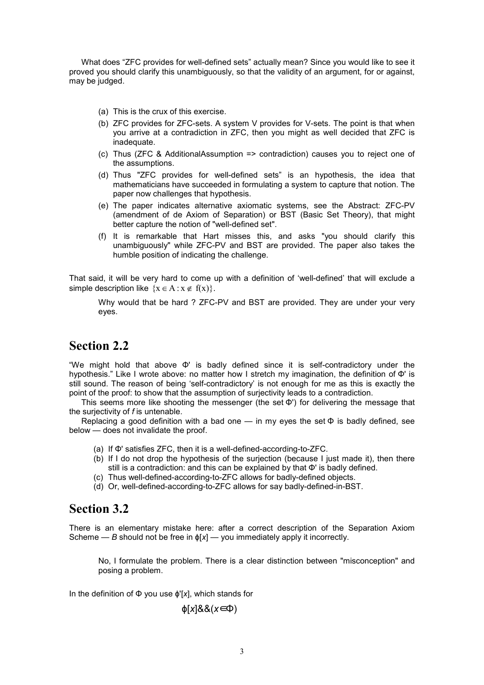What does "ZFC provides for well-defined sets" actually mean? Since you would like to see it proved you should clarify this unambiguously, so that the validity of an argument, for or against, may be judged.

- (a) This is the crux of this exercise.
- (b) ZFC provides for ZFC-sets. A system V provides for V-sets. The point is that when you arrive at a contradiction in ZFC, then you might as well decided that ZFC is inadequate.
- (c) Thus (ZFC & AdditionalAssumption => contradiction) causes you to reject one of the assumptions.
- (d) Thus "ZFC provides for well-defined sets" is an hypothesis, the idea that mathematicians have succeeded in formulating a system to capture that notion. The paper now challenges that hypothesis.
- (e) The paper indicates alternative axiomatic systems, see the Abstract: ZFC-PV (amendment of de Axiom of Separation) or BST (Basic Set Theory), that might better capture the notion of "well-defined set".
- (f) It is remarkable that Hart misses this, and asks "you should clarify this unambiguously" while ZFC-PV and BST are provided. The paper also takes the humble position of indicating the challenge.

That said, it will be very hard to come up with a definition of 'well-defined' that will exclude a simple description like  $\{x \in A : x \notin f(x)\}\.$ 

Why would that be hard ? ZFC-PV and BST are provided. They are under your very eyes.

### **Section 2.2**

"We might hold that above Φ' is badly defined since it is self-contradictory under the hypothesis." Like I wrote above: no matter how I stretch my imagination, the definition of Φ' is still sound. The reason of being 'self-contradictory' is not enough for me as this is exactly the point of the proof: to show that the assumption of surjectivity leads to a contradiction.

This seems more like shooting the messenger (the set  $\Phi'$ ) for delivering the message that the surjectivity of *f* is untenable.

Replacing a good definition with a bad one — in my eyes the set  $\Phi$  is badly defined, see below — does not invalidate the proof.

- (a) If Φ' satisfies ZFC, then it is a well-defined-according-to-ZFC.
- (b) If I do not drop the hypothesis of the surjection (because I just made it), then there still is a contradiction: and this can be explained by that Φ' is badly defined.
- (c) Thus well-defined-according-to-ZFC allows for badly-defined objects.
- (d) Or, well-defined-according-to-ZFC allows for say badly-defined-in-BST.

### **Section 3.2**

There is an elementary mistake here: after a correct description of the Separation Axiom Scheme — *B* should not be free in  $\phi[x]$  — you immediately apply it incorrectly.

No, I formulate the problem. There is a clear distinction between "misconception" and posing a problem.

In the definition of Φ you use ϕ'[*x*], which stands for

$$
\phi[x]\&\& (x\in\Phi)
$$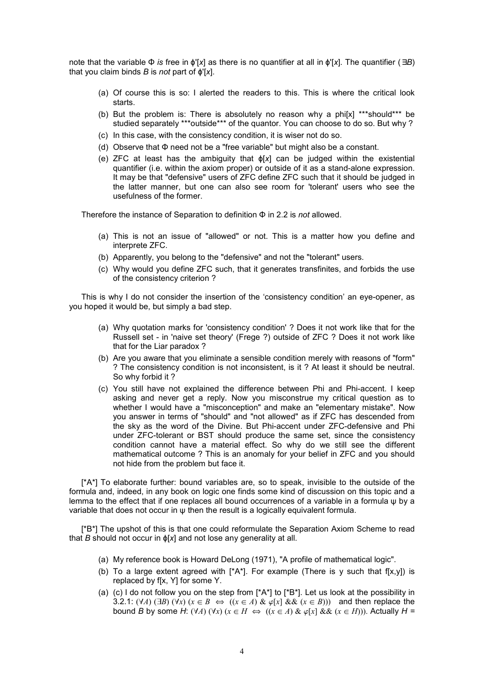note that the variable Φ *is* free in ϕ'[*x*] as there is no quantifier at all in ϕ'[*x*]. The quantifier (∃*B*) that you claim binds *B* is *not* part of ϕ'[*x*].

- (a) Of course this is so: I alerted the readers to this. This is where the critical look starts.
- (b) But the problem is: There is absolutely no reason why a phi[x] \*\*\*should\*\*\* be studied separately \*\*\*outside\*\*\* of the quantor. You can choose to do so. But why ?
- (c) In this case, with the consistency condition, it is wiser not do so.
- (d) Observe that Φ need not be a "free variable" but might also be a constant.
- (e) ZFC at least has the ambiguity that ϕ[*x*] can be judged within the existential quantifier (i.e. within the axiom proper) or outside of it as a stand-alone expression. It may be that "defensive" users of ZFC define ZFC such that it should be judged in the latter manner, but one can also see room for 'tolerant' users who see the usefulness of the former.

Therefore the instance of Separation to definition Φ in 2.2 is *not* allowed.

- (a) This is not an issue of "allowed" or not. This is a matter how you define and interprete ZFC.
- (b) Apparently, you belong to the "defensive" and not the "tolerant" users.
- (c) Why would you define ZFC such, that it generates transfinites, and forbids the use of the consistency criterion ?

This is why I do not consider the insertion of the 'consistency condition' an eye-opener, as you hoped it would be, but simply a bad step.

- (a) Why quotation marks for 'consistency condition' ? Does it not work like that for the Russell set - in 'naive set theory' (Frege ?) outside of ZFC ? Does it not work like that for the Liar paradox ?
- (b) Are you aware that you eliminate a sensible condition merely with reasons of "form" ? The consistency condition is not inconsistent, is it ? At least it should be neutral. So why forbid it ?
- (c) You still have not explained the difference between Phi and Phi-accent. I keep asking and never get a reply. Now you misconstrue my critical question as to whether I would have a "misconception" and make an "elementary mistake". Now you answer in terms of "should" and "not allowed" as if ZFC has descended from the sky as the word of the Divine. But Phi-accent under ZFC-defensive and Phi under ZFC-tolerant or BST should produce the same set, since the consistency condition cannot have a material effect. So why do we still see the different mathematical outcome ? This is an anomaly for your belief in ZFC and you should not hide from the problem but face it.

[\*A\*] To elaborate further: bound variables are, so to speak, invisible to the outside of the formula and, indeed, in any book on logic one finds some kind of discussion on this topic and a lemma to the effect that if one replaces all bound occurrences of a variable in a formula ψ by a variable that does not occur in  $\psi$  then the result is a logically equivalent formula.

[\*B\*] The upshot of this is that one could reformulate the Separation Axiom Scheme to read that *B* should not occur in ϕ[*x*] and not lose any generality at all.

- (a) My reference book is Howard DeLong (1971), "A profile of mathematical logic".
- (b) To a large extent agreed with  $[^{\ast}A^{\ast}].$  For example (There is y such that  $f[x,y]$ ) is replaced by f[x, Y] for some Y.
- (a) (c) I do not follow you on the step from  $[^{\ast}A^{\ast}]$  to  $[^{\ast}B^{\ast}]$ . Let us look at the possibility in 3.2.1:  $(\forall A)$  ( $\exists B)$   $(\forall x)$  ( $x \in B \Leftrightarrow$   $((x \in A) \& \varphi[x] \& \& (x \in B))$ ) and then replace the bound *B* by some *H*: (VA) (Vx) ( $x \in H \Leftrightarrow$  ( $(x \in A)$  &  $\varphi[x]$  & & ( $x \in H$ ))). Actually  $H =$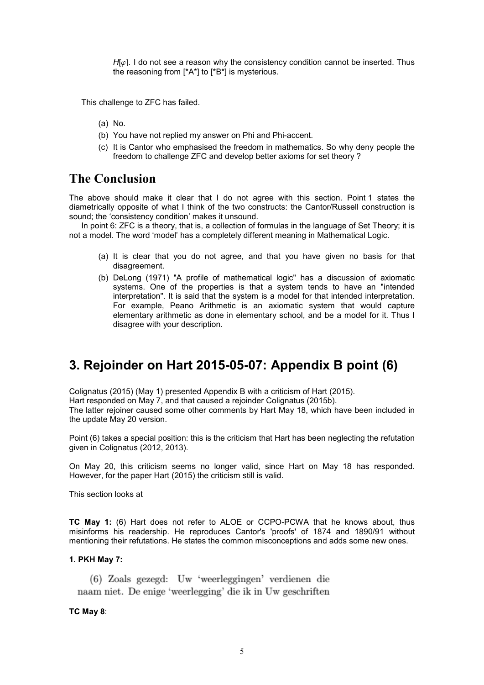$H[\varphi]$ . I do not see a reason why the consistency condition cannot be inserted. Thus the reasoning from [\*A\*] to [\*B\*] is mysterious.

This challenge to ZFC has failed.

- (a) No.
- (b) You have not replied my answer on Phi and Phi-accent.
- (c) It is Cantor who emphasised the freedom in mathematics. So why deny people the freedom to challenge ZFC and develop better axioms for set theory ?

## **The Conclusion**

The above should make it clear that I do not agree with this section. Point 1 states the diametrically opposite of what I think of the two constructs: the Cantor/Russell construction is sound; the 'consistency condition' makes it unsound.

In point 6: ZFC is a theory, that is, a collection of formulas in the language of Set Theory; it is not a model. The word 'model' has a completely different meaning in Mathematical Logic.

- (a) It is clear that you do not agree, and that you have given no basis for that disagreement.
- (b) DeLong (1971) "A profile of mathematical logic" has a discussion of axiomatic systems. One of the properties is that a system tends to have an "intended interpretation". It is said that the system is a model for that intended interpretation. For example, Peano Arithmetic is an axiomatic system that would capture elementary arithmetic as done in elementary school, and be a model for it. Thus I disagree with your description.

## **3. Rejoinder on Hart 2015-05-07: Appendix B point (6)**

Colignatus (2015) (May 1) presented Appendix B with a criticism of Hart (2015). Hart responded on May 7, and that caused a rejoinder Colignatus (2015b). The latter rejoiner caused some other comments by Hart May 18, which have been included in the update May 20 version.

Point (6) takes a special position: this is the criticism that Hart has been neglecting the refutation given in Colignatus (2012, 2013).

On May 20, this criticism seems no longer valid, since Hart on May 18 has responded. However, for the paper Hart (2015) the criticism still is valid.

This section looks at

**TC May 1:** (6) Hart does not refer to ALOE or CCPO-PCWA that he knows about, thus misinforms his readership. He reproduces Cantor's 'proofs' of 1874 and 1890/91 without mentioning their refutations. He states the common misconceptions and adds some new ones.

#### **1. PKH May 7:**

(6) Zoals gezegd: Uw 'weerleggingen' verdienen die naam niet. De enige 'weerlegging' die ik in Uw geschriften

#### **TC May 8**: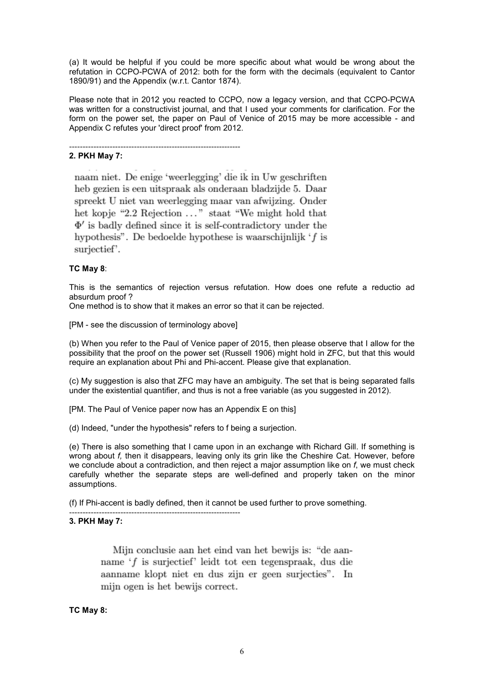(a) It would be helpful if you could be more specific about what would be wrong about the refutation in CCPO-PCWA of 2012: both for the form with the decimals (equivalent to Cantor 1890/91) and the Appendix (w.r.t. Cantor 1874).

Please note that in 2012 you reacted to CCPO, now a legacy version, and that CCPO-PCWA was written for a constructivist journal, and that I used your comments for clarification. For the form on the power set, the paper on Paul of Venice of 2015 may be more accessible - and Appendix C refutes your 'direct proof' from 2012.

#### **2. PKH May 7:**

naam niet. De enige 'weerlegging' die ik in Uw geschriften heb gezien is een uitspraak als onderaan bladzijde 5. Daar spreekt U niet van weerlegging maar van afwijzing. Onder het kopje "2.2 Rejection ..." staat "We might hold that  $\Phi'$  is badly defined since it is self-contradictory under the hypothesis". De bedoelde hypothese is waarschijnlijk  $f$  is surjectief'.

----------------------------------------------------------------

#### **TC May 8**:

This is the semantics of rejection versus refutation. How does one refute a reductio ad absurdum proof ?

One method is to show that it makes an error so that it can be rejected.

[PM - see the discussion of terminology above]

----------------------------------------------------------------

(b) When you refer to the Paul of Venice paper of 2015, then please observe that I allow for the possibility that the proof on the power set (Russell 1906) might hold in ZFC, but that this would require an explanation about Phi and Phi-accent. Please give that explanation.

(c) My suggestion is also that ZFC may have an ambiguity. The set that is being separated falls under the existential quantifier, and thus is not a free variable (as you suggested in 2012).

[PM. The Paul of Venice paper now has an Appendix E on this]

(d) Indeed, "under the hypothesis" refers to f being a surjection.

(e) There is also something that I came upon in an exchange with Richard Gill. If something is wrong about *f,* then it disappears, leaving only its grin like the Cheshire Cat. However, before we conclude about a contradiction, and then reject a major assumption like on *f*, we must check carefully whether the separate steps are well-defined and properly taken on the minor assumptions.

(f) If Phi-accent is badly defined, then it cannot be used further to prove something.

#### **3. PKH May 7:**

Mijn conclusie aan het eind van het bewijs is: "de aanname 'f is surjectief' leidt tot een tegenspraak, dus die aanname klopt niet en dus zijn er geen surjecties". In mijn ogen is het bewijs correct.

#### **TC May 8:**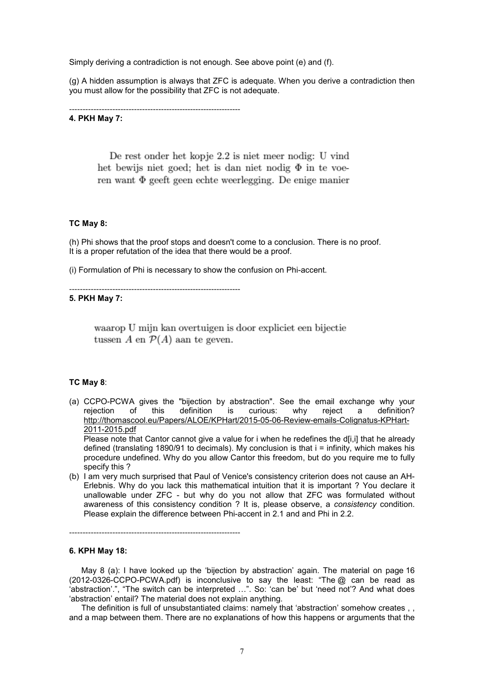Simply deriving a contradiction is not enough. See above point (e) and (f).

(g) A hidden assumption is always that ZFC is adequate. When you derive a contradiction then you must allow for the possibility that ZFC is not adequate.

----------------------------------------------------------------

#### **4. PKH May 7:**

De rest onder het kopje 2.2 is niet meer nodig: U vind het bewijs niet goed; het is dan niet nodig  $\Phi$  in te voeren want  $\Phi$  geeft geen echte weerlegging. De enige manier

#### **TC May 8:**

(h) Phi shows that the proof stops and doesn't come to a conclusion. There is no proof. It is a proper refutation of the idea that there would be a proof.

(i) Formulation of Phi is necessary to show the confusion on Phi-accent.

----------------------------------------------------------------

#### **5. PKH May 7:**

waarop U mijn kan overtuigen is door expliciet een bijectie tussen A en  $\mathcal{P}(A)$  aan te geven.

#### **TC May 8**:

(a) CCPO-PCWA gives the "bijection by abstraction". See the email exchange why your rejection of this definition is curious: why reject a definition? http://thomascool.eu/Papers/ALOE/KPHart/2015-05-06-Review-emails-Colignatus-KPHart-2011-2015.pdf

Please note that Cantor cannot give a value for i when he redefines the d[i,i] that he already defined (translating 1890/91 to decimals). My conclusion is that i = infinity, which makes his procedure undefined. Why do you allow Cantor this freedom, but do you require me to fully specify this ?

(b) I am very much surprised that Paul of Venice's consistency criterion does not cause an AH-Erlebnis. Why do you lack this mathematical intuition that it is important ? You declare it unallowable under ZFC - but why do you not allow that ZFC was formulated without awareness of this consistency condition ? It is, please observe, a *consistency* condition. Please explain the difference between Phi-accent in 2.1 and and Phi in 2.2.

----------------------------------------------------------------

#### **6. KPH May 18:**

May 8 (a): I have looked up the 'bijection by abstraction' again. The material on page 16 (2012-0326-CCPO-PCWA.pdf) is inconclusive to say the least: "The @ can be read as 'abstraction'.", "The switch can be interpreted ...". So: 'can be' but 'need not'? And what does 'abstraction' entail? The material does not explain anything.

The definition is full of unsubstantiated claims: namely that 'abstraction' somehow creates , , and a map between them. There are no explanations of how this happens or arguments that the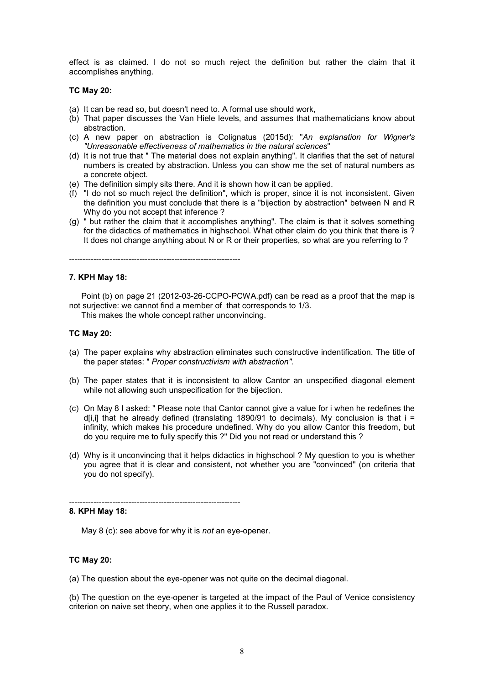effect is as claimed. I do not so much reject the definition but rather the claim that it accomplishes anything.

#### **TC May 20:**

- (a) It can be read so, but doesn't need to. A formal use should work,
- (b) That paper discusses the Van Hiele levels, and assumes that mathematicians know about abstraction.
- (c) A new paper on abstraction is Colignatus (2015d): "*An explanation for Wigner's "Unreasonable effectiveness of mathematics in the natural sciences*"
- (d) It is not true that " The material does not explain anything". It clarifies that the set of natural numbers is created by abstraction. Unless you can show me the set of natural numbers as a concrete object.
- (e) The definition simply sits there. And it is shown how it can be applied.
- (f) "I do not so much reject the definition", which is proper, since it is not inconsistent. Given the definition you must conclude that there is a "bijection by abstraction" between N and R Why do you not accept that inference ?
- (g) " but rather the claim that it accomplishes anything". The claim is that it solves something for the didactics of mathematics in highschool. What other claim do you think that there is ? It does not change anything about N or R or their properties, so what are you referring to ?

----------------------------------------------------------------

#### **7. KPH May 18:**

Point (b) on page 21 (2012-03-26-CCPO-PCWA.pdf) can be read as a proof that the map is not surjective: we cannot find a member of that corresponds to 1/3.

This makes the whole concept rather unconvincing.

#### **TC May 20:**

- (a) The paper explains why abstraction eliminates such constructive indentification. The title of the paper states: " *Proper constructivism with abstraction".*
- (b) The paper states that it is inconsistent to allow Cantor an unspecified diagonal element while not allowing such unspecification for the bijection.
- (c) On May 8 I asked: " Please note that Cantor cannot give a value for i when he redefines the d[i,i] that he already defined (translating 1890/91 to decimals). My conclusion is that  $i =$ infinity, which makes his procedure undefined. Why do you allow Cantor this freedom, but do you require me to fully specify this ?" Did you not read or understand this ?
- (d) Why is it unconvincing that it helps didactics in highschool ? My question to you is whether you agree that it is clear and consistent, not whether you are "convinced" (on criteria that you do not specify).

#### **8. KPH May 18:**

May 8 (c): see above for why it is *not* an eye-opener.

----------------------------------------------------------------

#### **TC May 20:**

(a) The question about the eye-opener was not quite on the decimal diagonal.

(b) The question on the eye-opener is targeted at the impact of the Paul of Venice consistency criterion on naive set theory, when one applies it to the Russell paradox.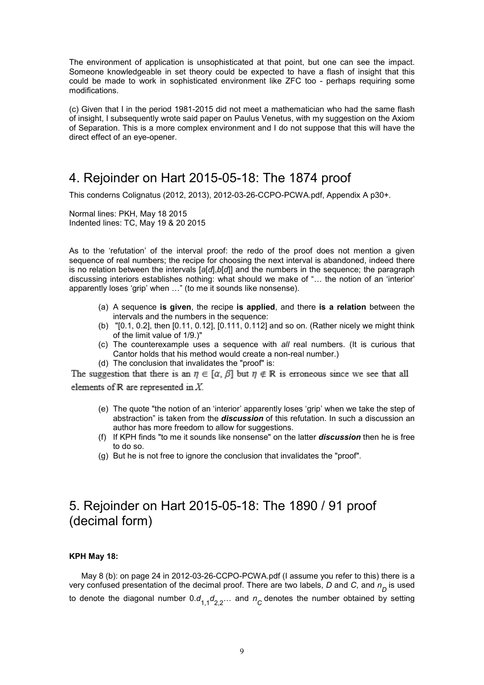The environment of application is unsophisticated at that point, but one can see the impact. Someone knowledgeable in set theory could be expected to have a flash of insight that this could be made to work in sophisticated environment like ZFC too - perhaps requiring some modifications.

(c) Given that I in the period 1981-2015 did not meet a mathematician who had the same flash of insight, I subsequently wrote said paper on Paulus Venetus, with my suggestion on the Axiom of Separation. This is a more complex environment and I do not suppose that this will have the direct effect of an eye-opener.

## 4. Rejoinder on Hart 2015-05-18: The 1874 proof

This conderns Colignatus (2012, 2013), 2012-03-26-CCPO-PCWA.pdf, Appendix A p30+.

Normal lines: PKH, May 18 2015 Indented lines: TC, May 19 & 20 2015

As to the 'refutation' of the interval proof: the redo of the proof does not mention a given sequence of real numbers; the recipe for choosing the next interval is abandoned, indeed there is no relation between the intervals [*a*[*d*],*b*[*d*]] and the numbers in the sequence; the paragraph discussing interiors establishes nothing: what should we make of "... the notion of an 'interior' apparently loses 'grip' when ..." (to me it sounds like nonsense).

- (a) A sequence **is given**, the recipe **is applied**, and there **is a relation** between the intervals and the numbers in the sequence:
- (b) "[0.1, 0.2], then [0.11, 0.12], [0.111, 0.112] and so on. (Rather nicely we might think of the limit value of 1/9.)"
- (c) The counterexample uses a sequence with *all* real numbers. (It is curious that Cantor holds that his method would create a non-real number.)
- (d) The conclusion that invalidates the "proof" is:

The suggestion that there is an  $\eta \in [\alpha, \beta]$  but  $\eta \notin \mathbb{R}$  is erroneous since we see that all elements of  $R$  are represented in  $X$ .

- (e) The quote "the notion of an 'interior' apparently loses 'grip' when we take the step of abstraction" is taken from the *discussion* of this refutation. In such a discussion an author has more freedom to allow for suggestions.
- (f) If KPH finds "to me it sounds like nonsense" on the latter *discussion* then he is free to do so.
- (g) But he is not free to ignore the conclusion that invalidates the "proof".

## 5. Rejoinder on Hart 2015-05-18: The 1890 / 91 proof (decimal form)

#### **KPH May 18:**

May 8 (b): on page 24 in 2012-03-26-CCPO-PCWA.pdf (I assume you refer to this) there is a very confused presentation of the decimal proof. There are two labels, *D* and *C*, and *n D* is used to denote the diagonal number 0. $d_{1,1}d_{2,2}...$  and  $n_{\overline{C}}$  denotes the number obtained by setting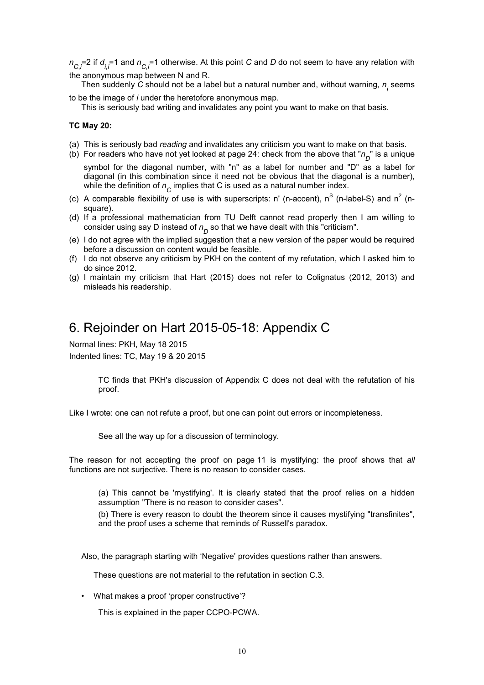$n_{C,i}$ =2 if  $d_{i,i}$ =1 and  $n_{C,i}$ =1 otherwise. At this point *C* and *D* do not seem to have any relation with the anonymous map between N and R.

Then suddenly  $C$  should not be a label but a natural number and, without warning,  $n_{\stackrel{\textstyle j}{}}$  seems to be the image of *i* under the heretofore anonymous map.

This is seriously bad writing and invalidates any point you want to make on that basis.

#### **TC May 20:**

- (a) This is seriously bad *reading* and invalidates any criticism you want to make on that basis.
- (b) For readers who have not yet looked at page 24: check from the above that " $n_{\overline{D}}$ " is a unique symbol for the diagonal number, with "n" as a label for number and "D" as a label for diagonal (in this combination since it need not be obvious that the diagonal is a number),

while the definition of  $n_{\stackrel{\phantom{.}}{C}}$  implies that C is used as a natural number index. (c) A comparable flexibility of use is with superscripts: n' (n-accent), n<sup>S</sup> (n-label-S) and n<sup>2</sup> (n-

- square). (d) If a professional mathematician from TU Delft cannot read properly then I am willing to
- consider using say D instead of  $n_{\overline{D}}$  so that we have dealt with this "criticism".
- (e) I do not agree with the implied suggestion that a new version of the paper would be required before a discussion on content would be feasible.
- (f) I do not observe any criticism by PKH on the content of my refutation, which I asked him to do since 2012.
- (g) I maintain my criticism that Hart (2015) does not refer to Colignatus (2012, 2013) and misleads his readership.

### 6. Rejoinder on Hart 2015-05-18: Appendix C

Normal lines: PKH, May 18 2015 Indented lines: TC, May 19 & 20 2015

> TC finds that PKH's discussion of Appendix C does not deal with the refutation of his proof.

Like I wrote: one can not refute a proof, but one can point out errors or incompleteness.

See all the way up for a discussion of terminology.

The reason for not accepting the proof on page 11 is mystifying: the proof shows that *all* functions are not surjective. There is no reason to consider cases.

(a) This cannot be 'mystifying'. It is clearly stated that the proof relies on a hidden assumption "There is no reason to consider cases".

(b) There is every reason to doubt the theorem since it causes mystifying "transfinites", and the proof uses a scheme that reminds of Russell's paradox.

Also, the paragraph starting with 'Negative' provides questions rather than answers.

These questions are not material to the refutation in section C.3.

• What makes a proof 'proper constructive'?

This is explained in the paper CCPO-PCWA.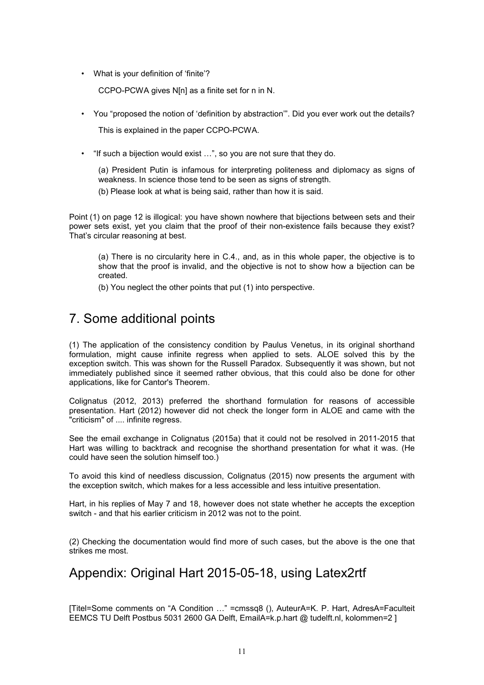• What is your definition of 'finite'?

CCPO-PCWA gives N[n] as a finite set for n in N.

• You "proposed the notion of 'definition by abstraction'". Did you ever work out the details?

This is explained in the paper CCPO-PCWA.

• "If such a bijection would exist ...", so you are not sure that they do.

(a) President Putin is infamous for interpreting politeness and diplomacy as signs of weakness. In science those tend to be seen as signs of strength.

(b) Please look at what is being said, rather than how it is said.

Point (1) on page 12 is illogical: you have shown nowhere that bijections between sets and their power sets exist, yet you claim that the proof of their non-existence fails because they exist? That's circular reasoning at best.

(a) There is no circularity here in C.4., and, as in this whole paper, the objective is to show that the proof is invalid, and the objective is not to show how a bijection can be created.

(b) You neglect the other points that put (1) into perspective.

## 7. Some additional points

(1) The application of the consistency condition by Paulus Venetus, in its original shorthand formulation, might cause infinite regress when applied to sets. ALOE solved this by the exception switch. This was shown for the Russell Paradox. Subsequently it was shown, but not immediately published since it seemed rather obvious, that this could also be done for other applications, like for Cantor's Theorem.

Colignatus (2012, 2013) preferred the shorthand formulation for reasons of accessible presentation. Hart (2012) however did not check the longer form in ALOE and came with the "criticism" of .... infinite regress.

See the email exchange in Colignatus (2015a) that it could not be resolved in 2011-2015 that Hart was willing to backtrack and recognise the shorthand presentation for what it was. (He could have seen the solution himself too.)

To avoid this kind of needless discussion, Colignatus (2015) now presents the argument with the exception switch, which makes for a less accessible and less intuitive presentation.

Hart, in his replies of May 7 and 18, however does not state whether he accepts the exception switch - and that his earlier criticism in 2012 was not to the point.

(2) Checking the documentation would find more of such cases, but the above is the one that strikes me most.

## Appendix: Original Hart 2015-05-18, using Latex2rtf

[Titel=Some comments on "A Condition ..." =cmssq8 (), AuteurA=K. P. Hart, AdresA=Faculteit EEMCS TU Delft Postbus 5031 2600 GA Delft, EmailA=k.p.hart @ tudelft.nl, kolommen=2 ]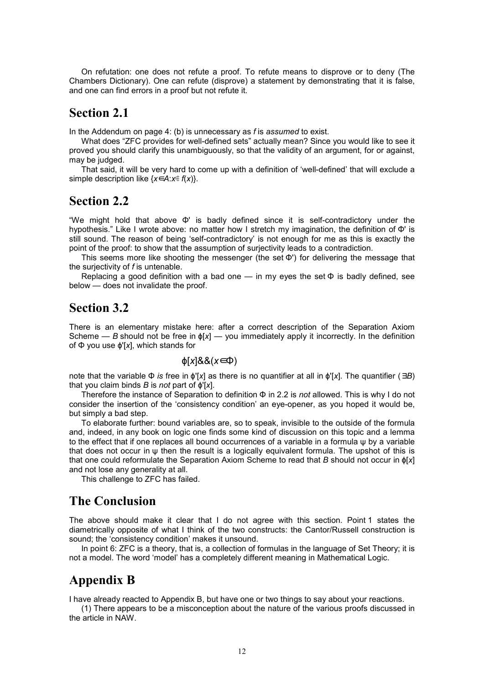On refutation: one does not refute a proof. To refute means to disprove or to deny (The Chambers Dictionary). One can refute (disprove) a statement by demonstrating that it is false, and one can find errors in a proof but not refute it.

### **Section 2.1**

In the Addendum on page 4: (b) is unnecessary as *f* is *assumed* to exist.

What does "ZFC provides for well-defined sets" actually mean? Since you would like to see it proved you should clarify this unambiguously, so that the validity of an argument, for or against, may be judged.

That said, it will be very hard to come up with a definition of 'well-defined' that will exclude a simple description like {*x*∈*A*:*x*∉ *f*(*x*)}.

### **Section 2.2**

"We might hold that above Φ' is badly defined since it is self-contradictory under the hypothesis." Like I wrote above: no matter how I stretch my imagination, the definition of Φ' is still sound. The reason of being 'self-contradictory' is not enough for me as this is exactly the point of the proof: to show that the assumption of surjectivity leads to a contradiction.

This seems more like shooting the messenger (the set Φ') for delivering the message that the surjectivity of *f* is untenable.

Replacing a good definition with a bad one — in my eyes the set  $\Phi$  is badly defined, see below — does not invalidate the proof.

### **Section 3.2**

There is an elementary mistake here: after a correct description of the Separation Axiom Scheme — *B* should not be free in  $\phi[x]$  — you immediately apply it incorrectly. In the definition of Φ you use ϕ'[*x*], which stands for

#### ϕ[*x*]&&(*x*∈Φ)

note that the variable Φ *is* free in ϕ'[*x*] as there is no quantifier at all in ϕ'[*x*]. The quantifier (∃*B*) that you claim binds *B* is *not* part of ϕ'[*x*].

Therefore the instance of Separation to definition Φ in 2.2 is *not* allowed. This is why I do not consider the insertion of the 'consistency condition' an eye-opener, as you hoped it would be, but simply a bad step.

To elaborate further: bound variables are, so to speak, invisible to the outside of the formula and, indeed, in any book on logic one finds some kind of discussion on this topic and a lemma to the effect that if one replaces all bound occurrences of a variable in a formula ψ by a variable that does not occur in ψ then the result is a logically equivalent formula. The upshot of this is that one could reformulate the Separation Axiom Scheme to read that *B* should not occur in ϕ[*x*] and not lose any generality at all.

This challenge to ZFC has failed.

### **The Conclusion**

The above should make it clear that I do not agree with this section. Point 1 states the diametrically opposite of what I think of the two constructs: the Cantor/Russell construction is sound; the 'consistency condition' makes it unsound.

In point 6: ZFC is a theory, that is, a collection of formulas in the language of Set Theory; it is not a model. The word 'model' has a completely different meaning in Mathematical Logic.

### **Appendix B**

I have already reacted to Appendix B, but have one or two things to say about your reactions.

(1) There appears to be a misconception about the nature of the various proofs discussed in the article in NAW.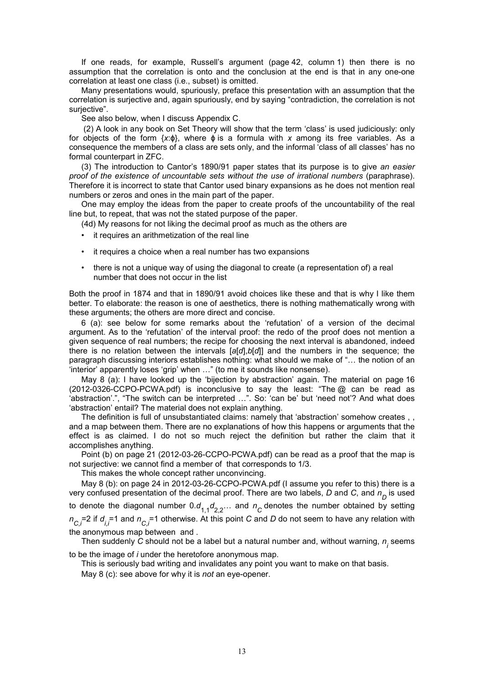If one reads, for example, Russell's argument (page 42, column 1) then there is no assumption that the correlation is onto and the conclusion at the end is that in any one-one correlation at least one class (i.e., subset) is omitted.

Many presentations would, spuriously, preface this presentation with an assumption that the correlation is surjective and, again spuriously, end by saying "contradiction, the correlation is not surjective".

See also below, when I discuss Appendix C.

 (2) A look in any book on Set Theory will show that the term 'class' is used judiciously: only for objects of the form {*x*:ϕ}, where ϕ is a formula with *x* among its free variables. As a consequence the members of a class are sets only, and the informal 'class of all classes' has no formal counterpart in ZFC.

(3) The introduction to Cantor's 1890/91 paper states that its purpose is to give *an easier proof of the existence of uncountable sets without the use of irrational numbers* (paraphrase). Therefore it is incorrect to state that Cantor used binary expansions as he does not mention real numbers or zeros and ones in the main part of the paper.

One may employ the ideas from the paper to create proofs of the uncountability of the real line but, to repeat, that was not the stated purpose of the paper.

(4d) My reasons for not liking the decimal proof as much as the others are

- it requires an arithmetization of the real line
- it requires a choice when a real number has two expansions
- there is not a unique way of using the diagonal to create (a representation of) a real number that does not occur in the list

Both the proof in 1874 and that in 1890/91 avoid choices like these and that is why I like them better. To elaborate: the reason is one of aesthetics, there is nothing mathematically wrong with these arguments; the others are more direct and concise.

6 (a): see below for some remarks about the 'refutation' of a version of the decimal argument. As to the 'refutation' of the interval proof: the redo of the proof does not mention a given sequence of real numbers; the recipe for choosing the next interval is abandoned, indeed there is no relation between the intervals [*a*[*d*],*b*[*d*]] and the numbers in the sequence; the paragraph discussing interiors establishes nothing: what should we make of "... the notion of an 'interior' apparently loses 'grip' when ..." (to me it sounds like nonsense).

May 8 (a): I have looked up the 'bijection by abstraction' again. The material on page 16 (2012-0326-CCPO-PCWA.pdf) is inconclusive to say the least: "The @ can be read as 'abstraction'.", "The switch can be interpreted ...". So: 'can be' but 'need not'? And what does 'abstraction' entail? The material does not explain anything.

The definition is full of unsubstantiated claims: namely that 'abstraction' somehow creates , , and a map between them. There are no explanations of how this happens or arguments that the effect is as claimed. I do not so much reject the definition but rather the claim that it accomplishes anything.

Point (b) on page 21 (2012-03-26-CCPO-PCWA.pdf) can be read as a proof that the map is not surjective: we cannot find a member of that corresponds to 1/3.

This makes the whole concept rather unconvincing.

May 8 (b): on page 24 in 2012-03-26-CCPO-PCWA.pdf (I assume you refer to this) there is a very confused presentation of the decimal proof. There are two labels, *D* and *C*, and *n D* is used to denote the diagonal number 0. $d_{1,1}d_{2,2}...$  and  $n_{\overline{C}}$  denotes the number obtained by setting  $n_{\rm C,i}$ =2 if  $d_{i,i}$ =1 and  $n_{\rm C,i}$ =1 otherwise. At this point *C* and *D* do not seem to have any relation with the anonymous map between and .

Then suddenly  $C$  should not be a label but a natural number and, without warning,  $n_{\overline{j}}$  seems to be the image of *i* under the heretofore anonymous map.

This is seriously bad writing and invalidates any point you want to make on that basis.

May 8 (c): see above for why it is *not* an eye-opener.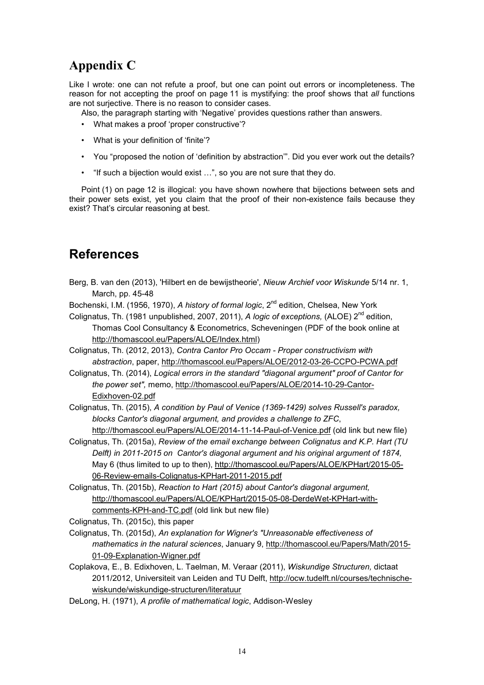## **Appendix C**

Like I wrote: one can not refute a proof, but one can point out errors or incompleteness. The reason for not accepting the proof on page 11 is mystifying: the proof shows that *all* functions are not surjective. There is no reason to consider cases.

Also, the paragraph starting with 'Negative' provides questions rather than answers.

- What makes a proof 'proper constructive'?
- What is your definition of 'finite'?
- You "proposed the notion of 'definition by abstraction'". Did you ever work out the details?
- "If such a bijection would exist ...", so you are not sure that they do.

Point (1) on page 12 is illogical: you have shown nowhere that bijections between sets and their power sets exist, yet you claim that the proof of their non-existence fails because they exist? That's circular reasoning at best.

## **References**

- Berg, B. van den (2013), 'Hilbert en de bewijstheorie', *Nieuw Archief voor Wiskunde* 5/14 nr. 1, March, pp. 45-48
- Bochenski, I.M. (1956, 1970), *A history of formal logic*, 2<sup>nd</sup> edition, Chelsea, New York
- Colignatus, Th. (1981 unpublished, 2007, 2011), *A logic of exceptions*, (ALOE) 2<sup>nd</sup> edition, Thomas Cool Consultancy & Econometrics, Scheveningen (PDF of the book online at http://thomascool.eu/Papers/ALOE/Index.html)

Colignatus, Th. (2012, 2013), *Contra Cantor Pro Occam - Proper constructivism with abstraction*, paper, http://thomascool.eu/Papers/ALOE/2012-03-26-CCPO-PCWA.pdf

Colignatus, Th. (2014), *Logical errors in the standard "diagonal argument" proof of Cantor for the power set",* memo, http://thomascool.eu/Papers/ALOE/2014-10-29-Cantor-Edixhoven-02.pdf

Colignatus, Th. (2015), *A condition by Paul of Venice (1369-1429) solves Russell's paradox, blocks Cantor's diagonal argument, and provides a challenge to ZFC*, http://thomascool.eu/Papers/ALOE/2014-11-14-Paul-of-Venice.pdf (old link but new file)

- Colignatus, Th. (2015a), *Review of the email exchange between Colignatus and K.P. Hart (TU Delft) in 2011-2015 on Cantor's diagonal argument and his original argument of 1874,* May 6 (thus limited to up to then), http://thomascool.eu/Papers/ALOE/KPHart/2015-05- 06-Review-emails-Colignatus-KPHart-2011-2015.pdf
- Colignatus, Th. (2015b), *Reaction to Hart (2015) about Cantor's diagonal argument,* http://thomascool.eu/Papers/ALOE/KPHart/2015-05-08-DerdeWet-KPHart-withcomments-KPH-and-TC.pdf (old link but new file)

Colignatus, Th. (2015c), this paper

- Colignatus, Th. (2015d), *An explanation for Wigner's "Unreasonable effectiveness of mathematics in the natural sciences*, January 9, http://thomascool.eu/Papers/Math/2015- 01-09-Explanation-Wigner.pdf
- Coplakova, E., B. Edixhoven, L. Taelman, M. Veraar (2011), *Wiskundige Structuren,* dictaat 2011/2012, Universiteit van Leiden and TU Delft, http://ocw.tudelft.nl/courses/technischewiskunde/wiskundige-structuren/literatuur

DeLong, H. (1971), *A profile of mathematical logic*, Addison-Wesley